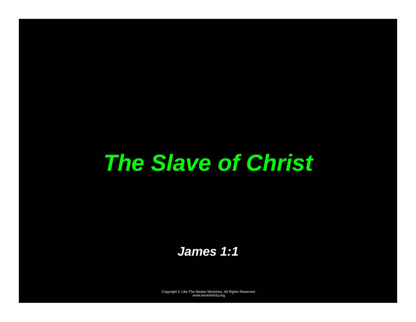# *The Slave of Christ*

*James 1:1*

Copyright © Like The Master Ministries. All Rights Reserved. www.neverthirsty.org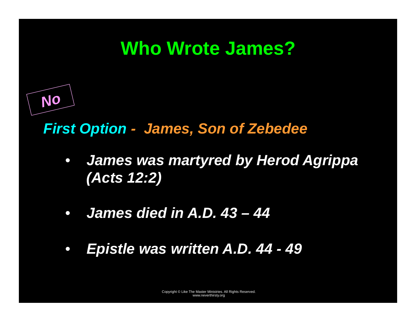## **Who Wrote James?**

#### *First Option - James, Son of Zebedee*

*No* 

- *James was martyred by Herod Agrippa (Acts 12:2)*
- $\bullet$ *James died in A.D. 43 – 44*
- $\bullet$ *Epistle was written A.D. 44 - 49*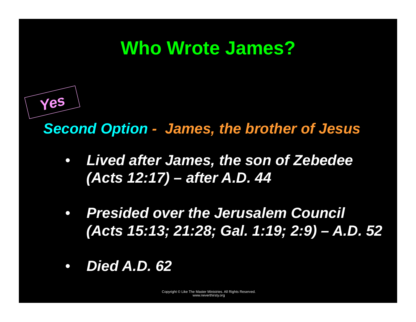## **Who Wrote James?**



*Second Option - James, the brother of Jesus* 

- $\bullet$  *Lived after James, the son of Zebedee (Acts 12:17) – after A.D. 44*
- $\bullet$  *Presided over the Jerusalem Council (Acts 15:13; 21:28; Gal. 1:19; 2:9) – A.D. 52*
- $\bullet$ *Died A.D. 62*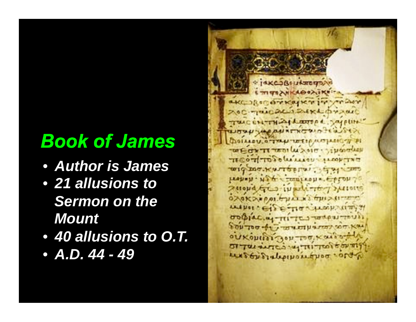## *Book of James*

- *Author is James*
- *21 allusions to Sermon on the Mount*
- *40 allusions to O.T.*
- *A.D. 44 49*

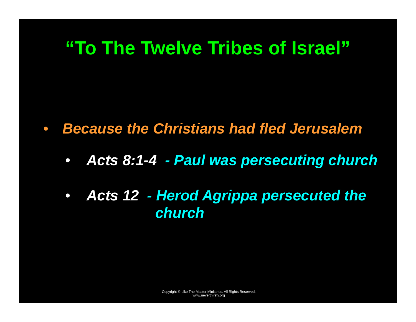## **"To The Twelve Tribes of Israel"**

- $\bullet$  *Because the Christians had fled Jerusalem* 
	- $\bullet$ *Acts 8:1-4 - Paul was persecuting church*
	- *Acts 12 Herod Agrippa persecuted the church*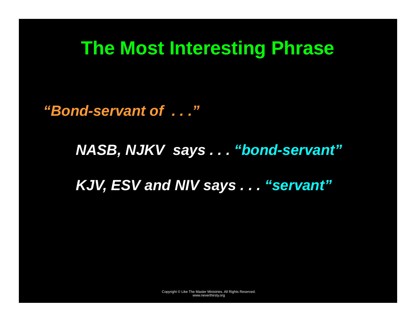#### **The Most Interesting Phrase**

*"Bond-servant of . . ."* 

*NASB, NJKV says . . . "bond-servant"* 

*KJV, ESV and NIV says . . . "servant"*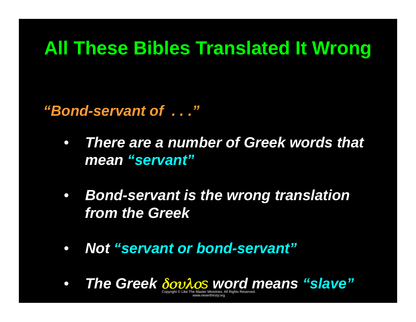## **All These Bibles Translated It Wrong**

*"Bond-servant of . . ."* 

- *There are a number of Greek words that mean "servant"*
- *Bond-servant is the wrong translation from the Greek*
- *Not "servant or bond-servant"*
- Copyright © Like The Master Ministries. All Rights Reserved. • *The Greek* δουλο*s word means "slave"*

www.neverthirsty.org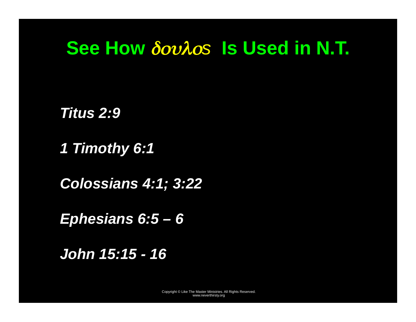#### **See How** δουλο*s* **Is Used in N.T.**

*Titus 2:9* 

*1 Timothy 6:1* 

*Colossians 4:1; 3:22* 

*Ephesians 6:5 – 6* 

*John 15:15 - 16*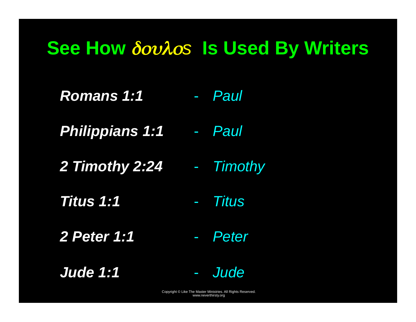## **See How** δουλο*<sup>s</sup>* **Is Used By Writers**

- *Romans 1:1*  - *Paul*
- *Philippians 1:1*  - *Paul*
- *2 Timothy 2:24*  -*Timothy*
- *Titus 1:1*  -*Titus*
- *2 Peter 1:1*  -*Peter*
- *Jude 1:1*

*Jude*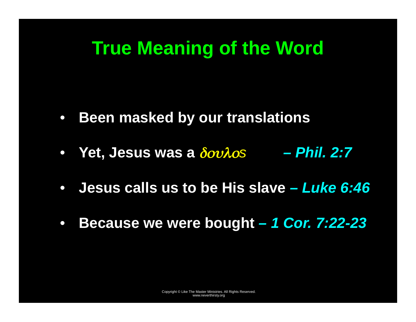## **True Meaning of the Word**

- $\bullet$ **Been masked by our translations**
- **Yet, Jesus was a** δουλο*<sup>s</sup> Phil. 2:7*
- $\bullet$ **Jesus calls us to be His slave** *– Luke 6:46*
- $\bullet$ **Because we were bought** *– 1 Cor. 7:22-23*